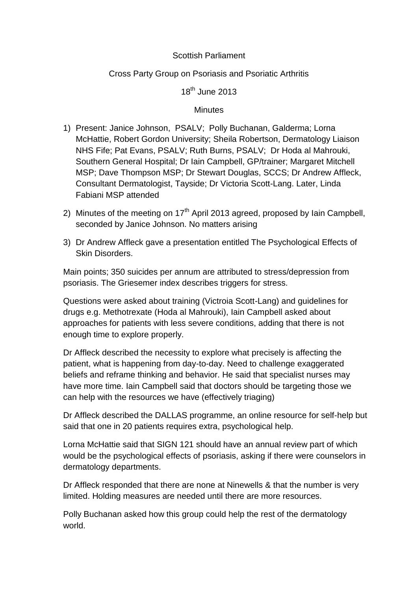## Scottish Parliament

## Cross Party Group on Psoriasis and Psoriatic Arthritis

18<sup>th</sup> June 2013

## **Minutes**

- 1) Present: Janice Johnson, PSALV; Polly Buchanan, Galderma; Lorna McHattie, Robert Gordon University; Sheila Robertson, Dermatology Liaison NHS Fife; Pat Evans, PSALV; Ruth Burns, PSALV; Dr Hoda al Mahrouki, Southern General Hospital; Dr Iain Campbell, GP/trainer; Margaret Mitchell MSP; Dave Thompson MSP; Dr Stewart Douglas, SCCS; Dr Andrew Affleck, Consultant Dermatologist, Tayside; Dr Victoria Scott-Lang. Later, Linda Fabiani MSP attended
- 2) Minutes of the meeting on  $17<sup>th</sup>$  April 2013 agreed, proposed by Iain Campbell, seconded by Janice Johnson. No matters arising
- 3) Dr Andrew Affleck gave a presentation entitled The Psychological Effects of Skin Disorders.

Main points; 350 suicides per annum are attributed to stress/depression from psoriasis. The Griesemer index describes triggers for stress.

Questions were asked about training (Victroia Scott-Lang) and guidelines for drugs e.g. Methotrexate (Hoda al Mahrouki), Iain Campbell asked about approaches for patients with less severe conditions, adding that there is not enough time to explore properly.

Dr Affleck described the necessity to explore what precisely is affecting the patient, what is happening from day-to-day. Need to challenge exaggerated beliefs and reframe thinking and behavior. He said that specialist nurses may have more time. Iain Campbell said that doctors should be targeting those we can help with the resources we have (effectively triaging)

Dr Affleck described the DALLAS programme, an online resource for self-help but said that one in 20 patients requires extra, psychological help.

Lorna McHattie said that SIGN 121 should have an annual review part of which would be the psychological effects of psoriasis, asking if there were counselors in dermatology departments.

Dr Affleck responded that there are none at Ninewells & that the number is very limited. Holding measures are needed until there are more resources.

Polly Buchanan asked how this group could help the rest of the dermatology world.